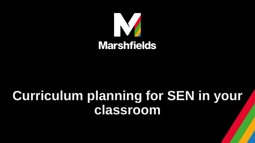

# **Curriculum planning for SEN in your classroom**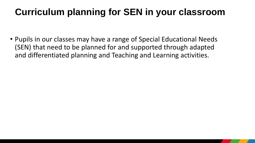### **Curriculum planning for SEN in your classroom**

• Pupils in our classes may have a range of Special Educational Needs (SEN) that need to be planned for and supported through adapted and differentiated planning and Teaching and Learning activities.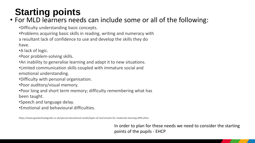## **Starting points**

### • For MLD learners needs can include some or all of the following:

•Difficulty understanding basic concepts.

•Problems acquiring basic skills in reading, writing and numeracy with

a resultant lack of confidence to use and develop the skills they do

have.

•A lack of logic.

•Poor problem-solving skills.

•An inability to generalise learning and adapt it to new situations.

•Limited communication skills coupled with immature social and emotional understanding.

•Difficulty with personal organisation.

•Poor auditory/visual memory.

•Poor long and short term memory; difficulty remembering what has

been taught.

•Speech and language delay.

•Emotional and behavioural difficulties.

https://www.goodschoolsguide.co.uk/special-educational-needs/types-of-sen/schools-for-moderate-learning-difficulties

In order to plan for these needs we need to consider the starting points of the pupils - EHCP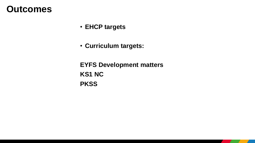### **Outcomes**

- **EHCP targets**
- **Curriculum targets:**

**EYFS Development matters KS1 NC PKSS**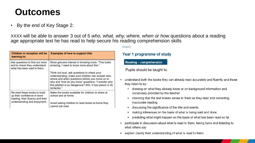### **Outcomes**

• By the end of Key Stage 2:

XXXX will be able to answer 3 out of 5 *who, what, why, where, when or how* questions about a reading age appropriate text he has read to help secure his reading comprehension skills

| Children in reception will be<br>learning to:                                                                                   | <b>Examples of how to support this:</b>                                                                                                                                                                                                                                              |
|---------------------------------------------------------------------------------------------------------------------------------|--------------------------------------------------------------------------------------------------------------------------------------------------------------------------------------------------------------------------------------------------------------------------------------|
| Ask questions to find out more<br>and to check they understand<br>what has been said to them.                                   | Show genuine interest in knowing more: "This looks<br>amazing, I need to know more about this."                                                                                                                                                                                      |
|                                                                                                                                 | Think out loud, ask questions to check your<br>understanding; make sure children can answer who,<br>where and when questions before you move on to<br>why and 'how do you know' questions: "I wonder why<br>this jellyfish is so dangerous? Ahh, it has poison in its<br>tentacles." |
| Re-read these books to build<br>up their confidence in word<br>reading, their fluency and their<br>understanding and enjoyment. | Make the books available for children to share at<br>school and at home.                                                                                                                                                                                                             |
|                                                                                                                                 | Avoid asking children to read books at home they<br>cannot yet read.                                                                                                                                                                                                                 |

#### **English**

#### Year 1 programme of study

Reading - comprehension

Pupils should be taught to:

- understand both the books they can already read accurately and fluently and those  $\blacksquare$ they listen to by:
	- drawing on what they already know or on background information and vocabulary provided by the teacher
	- checking that the text makes sense to them as they read and correcting  $\blacksquare$ inaccurate reading
	- discussing the significance of the title and events  $\blacksquare$
	- making inferences on the basis of what is being said and done ш
	- predicting what might happen on the basis of what has been read so far a,
- participate in discussion about what is read to them, taking turns and listening to ٠ what others say
- explain clearly their understanding of what is read to them. ш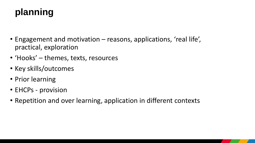- Engagement and motivation reasons, applications, 'real life', practical, exploration
- 'Hooks' themes, texts, resources
- Key skills/outcomes
- Prior learning
- EHCPs provision
- Repetition and over learning, application in different contexts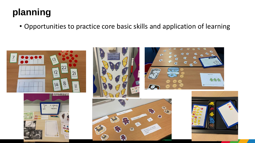• Opportunities to practice core basic skills and application of learning





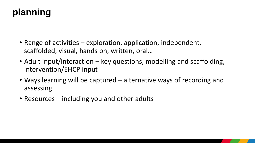- Range of activities exploration, application, independent, scaffolded, visual, hands on, written, oral…
- Adult input/interaction key questions, modelling and scaffolding, intervention/EHCP input
- Ways learning will be captured alternative ways of recording and assessing
- Resources including you and other adults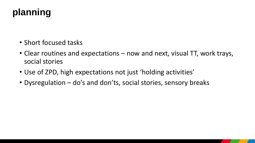- Short focused tasks
- Clear routines and expectations now and next, visual TT, work trays, social stories
- Use of ZPD, high expectations not just 'holding activities'
- Dysregulation do's and don'ts, social stories, sensory breaks